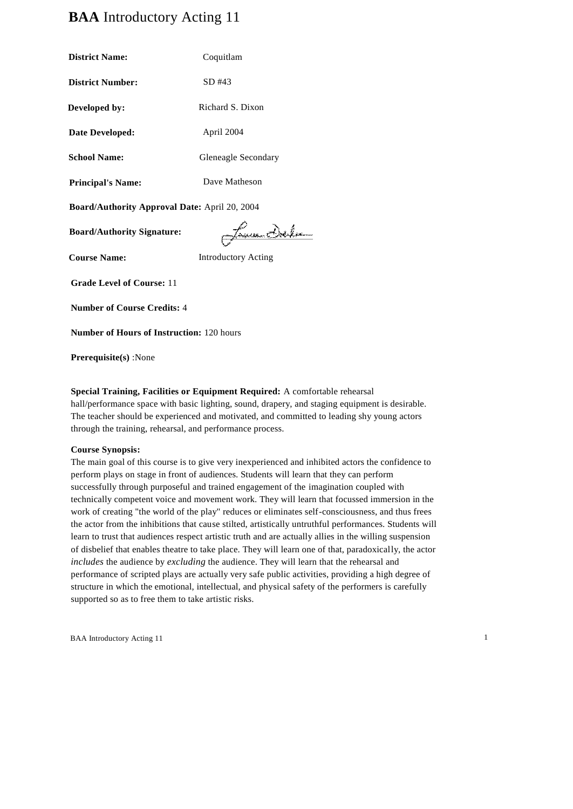# **BAA** Introductory Acting 11

| <b>District Name:</b>                         | Coquitlam           |
|-----------------------------------------------|---------------------|
| <b>District Number:</b>                       | SD #43              |
| Developed by:                                 | Richard S. Dixon    |
| Date Developed:                               | April 2004          |
| <b>School Name:</b>                           | Gleneagle Secondary |
| <b>Principal's Name:</b>                      | Dave Matheson       |
| Board/Authority Approval Date: April 20, 2004 |                     |
|                                               | <b>The</b>          |

James Delm

**Course Name:** Introductory Acting

**Grade Level of Course:** 11

**Board/Authority Signature:**

**Number of Course Credits:** 4

**Number of Hours of Instruction:** 120 hours

**Prerequisite(s)** :None

# **Special Training, Facilities or Equipment Required:** A comfortable rehearsal

hall/performance space with basic lighting, sound, drapery, and staging equipment is desirable. The teacher should be experienced and motivated, and committed to leading shy young actors through the training, rehearsal, and performance process.

#### **Course Synopsis:**

The main goal of this course is to give very inexperienced and inhibited actors the confidence to perform plays on stage in front of audiences. Students will learn that they can perform successfully through purposeful and trained engagement of the imagination coupled with technically competent voice and movement work. They will learn that focussed immersion in the work of creating "the world of the play" reduces or eliminates self-consciousness, and thus frees the actor from the inhibitions that cause stilted, artistically untruthful performances. Students will learn to trust that audiences respect artistic truth and are actually allies in the willing suspension of disbelief that enables theatre to take place. They will learn one of that, paradoxically, the actor *includes* the audience by *excluding* the audience. They will learn that the rehearsal and performance of scripted plays are actually very safe public activities, providing a high degree of structure in which the emotional, intellectual, and physical safety of the performers is carefully supported so as to free them to take artistic risks.

BAA Introductory Acting 11 1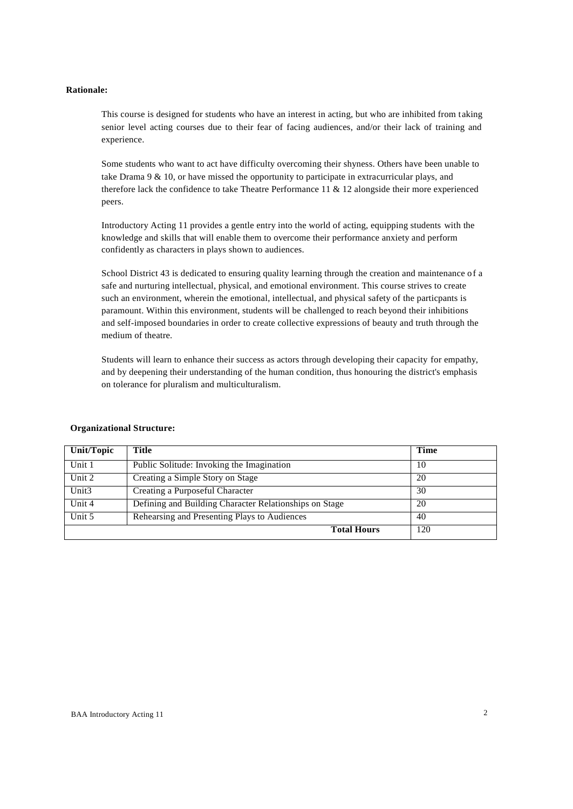#### **Rationale:**

This course is designed for students who have an interest in acting, but who are inhibited from taking senior level acting courses due to their fear of facing audiences, and/or their lack of training and experience.

Some students who want to act have difficulty overcoming their shyness. Others have been unable to take Drama 9 & 10, or have missed the opportunity to participate in extracurricular plays, and therefore lack the confidence to take Theatre Performance 11 & 12 alongside their more experienced peers.

Introductory Acting 11 provides a gentle entry into the world of acting, equipping students with the knowledge and skills that will enable them to overcome their performance anxiety and perform confidently as characters in plays shown to audiences.

School District 43 is dedicated to ensuring quality learning through the creation and maintenance of a safe and nurturing intellectual, physical, and emotional environment. This course strives to create such an environment, wherein the emotional, intellectual, and physical safety of the particpants is paramount. Within this environment, students will be challenged to reach beyond their inhibitions and self-imposed boundaries in order to create collective expressions of beauty and truth through the medium of theatre.

Students will learn to enhance their success as actors through developing their capacity for empathy, and by deepening their understanding of the human condition, thus honouring the district's emphasis on tolerance for pluralism and multiculturalism.

| Unit/Topic         | Title                                                  | Time |
|--------------------|--------------------------------------------------------|------|
| Unit 1             | Public Solitude: Invoking the Imagination              | 10   |
| Unit $2$           | Creating a Simple Story on Stage                       | 20   |
| Unit <sub>3</sub>  | Creating a Purposeful Character                        | 30   |
| Unit 4             | Defining and Building Character Relationships on Stage | 20   |
| Unit 5             | Rehearsing and Presenting Plays to Audiences           | 40   |
| <b>Total Hours</b> |                                                        | 120  |

#### **Organizational Structure:**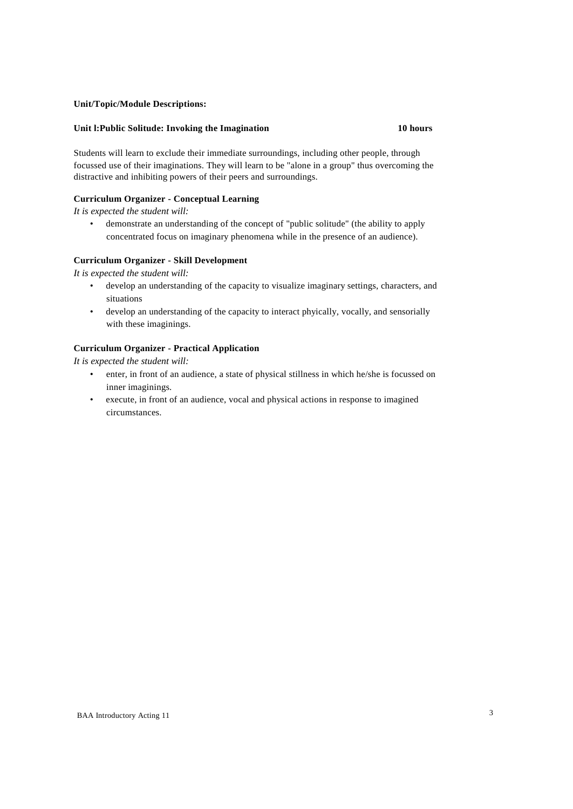# **Unit/Topic/Module Descriptions:**

#### **Unit l:Public Solitude: Invoking the Imagination 10 hours**

Students will learn to exclude their immediate surroundings, including other people, through focussed use of their imaginations. They will learn to be "alone in a group" thus overcoming the distractive and inhibiting powers of their peers and surroundings.

# **Curriculum Organizer - Conceptual Learning**

*It is expected the student will:*

• demonstrate an understanding of the concept of "public solitude" (the ability to apply concentrated focus on imaginary phenomena while in the presence of an audience).

# **Curriculum Organizer - Skill Development**

*It is expected the student will:*

- develop an understanding of the capacity to visualize imaginary settings, characters, and situations
- develop an understanding of the capacity to interact phyically, vocally, and sensorially with these imaginings.

# **Curriculum Organizer - Practical Application**

- enter, in front of an audience, a state of physical stillness in which he/she is focussed on inner imaginings.
- execute, in front of an audience, vocal and physical actions in response to imagined circumstances.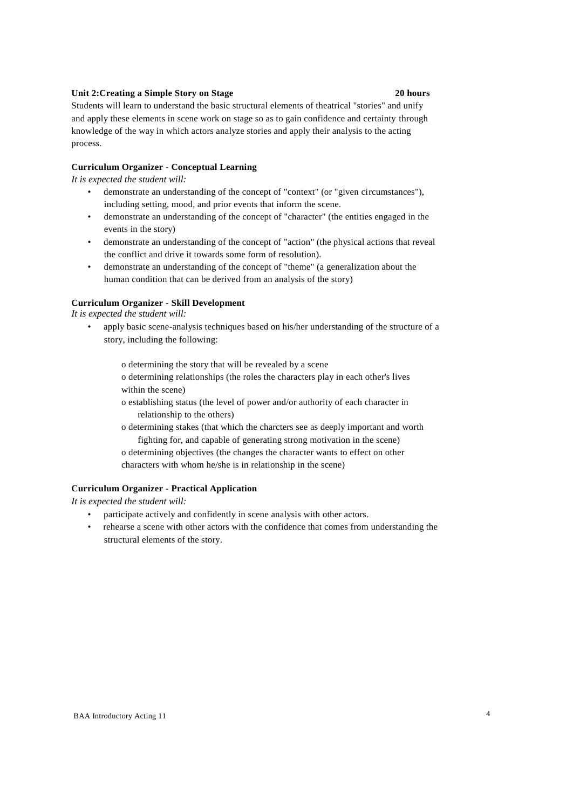# **Unit 2:Creating a Simple Story on Stage 20 hours**

Students will learn to understand the basic structural elements of theatrical "stories" and unify and apply these elements in scene work on stage so as to gain confidence and certainty through knowledge of the way in which actors analyze stories and apply their analysis to the acting process.

#### **Curriculum Organizer - Conceptual Learning**

*It is expected the student will:*

- demonstrate an understanding of the concept of "context" (or "given circumstances"), including setting, mood, and prior events that inform the scene.
- demonstrate an understanding of the concept of "character" (the entities engaged in the events in the story)
- demonstrate an understanding of the concept of "action" (the physical actions that reveal the conflict and drive it towards some form of resolution).
- demonstrate an understanding of the concept of "theme" (a generalization about the human condition that can be derived from an analysis of the story)

### **Curriculum Organizer - Skill Development**

*It is expected the student will:*

• apply basic scene-analysis techniques based on his/her understanding of the structure of a story, including the following:

o determining the story that will be revealed by a scene

o determining relationships (the roles the characters play in each other's lives within the scene)

o establishing status (the level of power and/or authority of each character in relationship to the others)

o determining stakes (that which the charcters see as deeply important and worth fighting for, and capable of generating strong motivation in the scene)

o determining objectives (the changes the character wants to effect on other characters with whom he/she is in relationship in the scene)

# **Curriculum Organizer - Practical Application**

- participate actively and confidently in scene analysis with other actors.
- rehearse a scene with other actors with the confidence that comes from understanding the structural elements of the story.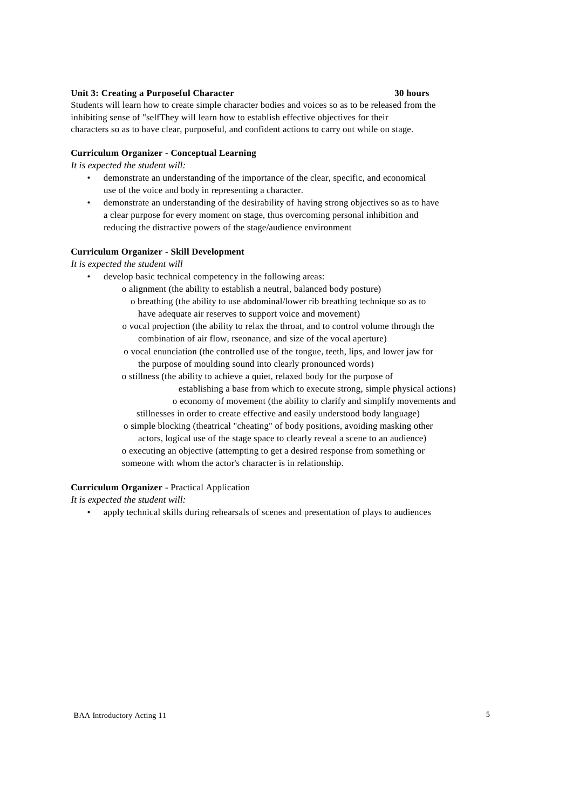#### **Unit 3: Creating a Purposeful Character 30 hours**

Students will learn how to create simple character bodies and voices so as to be released from the inhibiting sense of "selfThey will learn how to establish effective objectives for their characters so as to have clear, purposeful, and confident actions to carry out while on stage.

#### **Curriculum Organizer - Conceptual Learning**

*It is expected the student will:*

- demonstrate an understanding of the importance of the clear, specific, and economical use of the voice and body in representing a character.
- demonstrate an understanding of the desirability of having strong objectives so as to have a clear purpose for every moment on stage, thus overcoming personal inhibition and reducing the distractive powers of the stage/audience environment

# **Curriculum Organizer - Skill Development**

*It is expected the student will*

- develop basic technical competency in the following areas:
	- o alignment (the ability to establish a neutral, balanced body posture)
		- o breathing (the ability to use abdominal/lower rib breathing technique so as to have adequate air reserves to support voice and movement)
	- o vocal projection (the ability to relax the throat, and to control volume through the combination of air flow, rseonance, and size of the vocal aperture)
	- o vocal enunciation (the controlled use of the tongue, teeth, lips, and lower jaw for the purpose of moulding sound into clearly pronounced words)
	- o stillness (the ability to achieve a quiet, relaxed body for the purpose of
		- establishing a base from which to execute strong, simple physical actions)
		- o economy of movement (the ability to clarify and simplify movements and
		- stillnesses in order to create effective and easily understood body language)
	- o simple blocking (theatrical "cheating" of body positions, avoiding masking other actors, logical use of the stage space to clearly reveal a scene to an audience) o executing an objective (attempting to get a desired response from something or
	- someone with whom the actor's character is in relationship.

#### **Curriculum Organizer** - Practical Application

*It is expected the student will:*

• apply technical skills during rehearsals of scenes and presentation of plays to audiences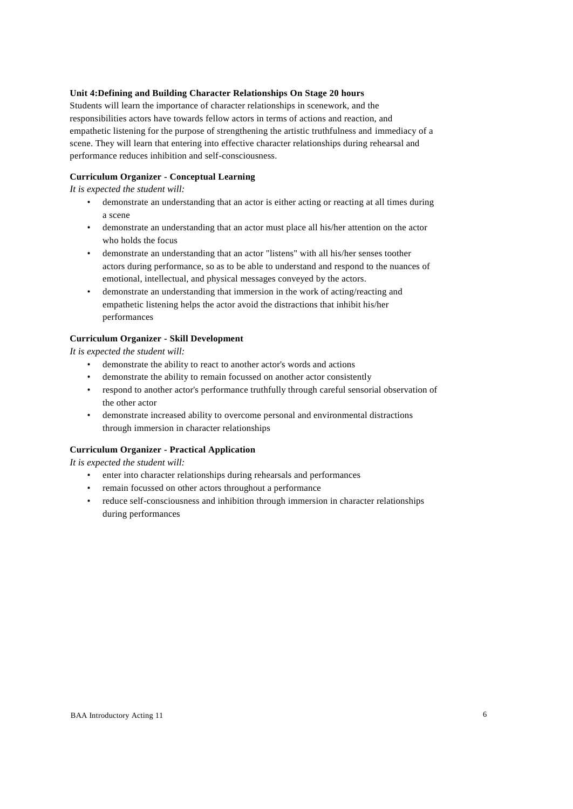# **Unit 4:Defining and Building Character Relationships On Stage 20 hours**

Students will learn the importance of character relationships in scenework, and the responsibilities actors have towards fellow actors in terms of actions and reaction, and empathetic listening for the purpose of strengthening the artistic truthfulness and immediacy of a scene. They will learn that entering into effective character relationships during rehearsal and performance reduces inhibition and self-consciousness.

# **Curriculum Organizer - Conceptual Learning**

*It is expected the student will:*

- demonstrate an understanding that an actor is either acting or reacting at all times during a scene
- demonstrate an understanding that an actor must place all his/her attention on the actor who holds the focus
- demonstrate an understanding that an actor "listens" with all his/her senses toother actors during performance, so as to be able to understand and respond to the nuances of emotional, intellectual, and physical messages conveyed by the actors.
- demonstrate an understanding that immersion in the work of acting/reacting and empathetic listening helps the actor avoid the distractions that inhibit his/her performances

# **Curriculum Organizer - Skill Development**

*It is expected the student will:*

- demonstrate the ability to react to another actor's words and actions
- demonstrate the ability to remain focussed on another actor consistently
- respond to another actor's performance truthfully through careful sensorial observation of the other actor
- demonstrate increased ability to overcome personal and environmental distractions through immersion in character relationships

#### **Curriculum Organizer - Practical Application**

- enter into character relationships during rehearsals and performances
- remain focussed on other actors throughout a performance
- reduce self-consciousness and inhibition through immersion in character relationships during performances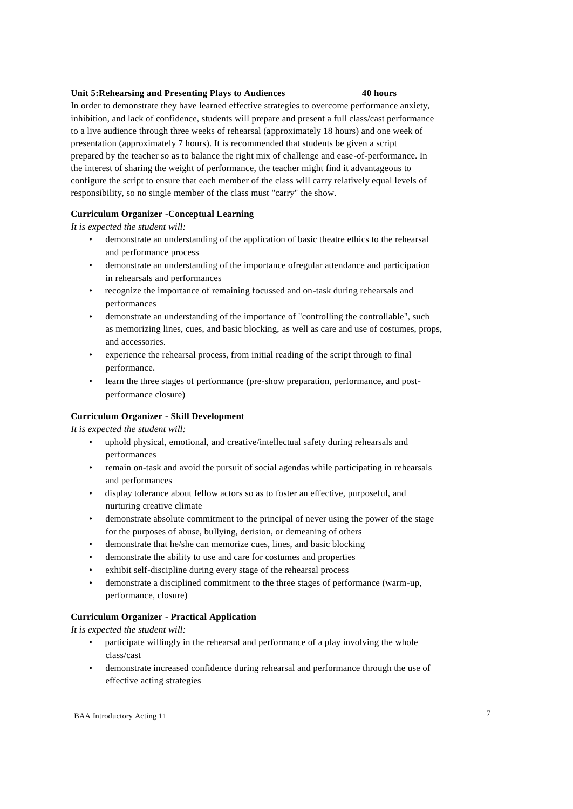#### **Unit 5:Rehearsing and Presenting Plays to Audiences 40 hours**

In order to demonstrate they have learned effective strategies to overcome performance anxiety, inhibition, and lack of confidence, students will prepare and present a full class/cast performance to a live audience through three weeks of rehearsal (approximately 18 hours) and one week of presentation (approximately 7 hours). It is recommended that students be given a script prepared by the teacher so as to balance the right mix of challenge and ease-of-performance. In the interest of sharing the weight of performance, the teacher might find it advantageous to configure the script to ensure that each member of the class will carry relatively equal levels of responsibility, so no single member of the class must "carry" the show.

# **Curriculum Organizer -Conceptual Learning**

*It is expected the student will:*

- demonstrate an understanding of the application of basic theatre ethics to the rehearsal and performance process
- demonstrate an understanding of the importance ofregular attendance and participation in rehearsals and performances
- recognize the importance of remaining focussed and on-task during rehearsals and performances
- demonstrate an understanding of the importance of "controlling the controllable", such as memorizing lines, cues, and basic blocking, as well as care and use of costumes, props, and accessories.
- experience the rehearsal process, from initial reading of the script through to final performance.
- learn the three stages of performance (pre-show preparation, performance, and postperformance closure)

# **Curriculum Organizer - Skill Development**

*It is expected the student will:*

- uphold physical, emotional, and creative/intellectual safety during rehearsals and performances
- remain on-task and avoid the pursuit of social agendas while participating in rehearsals and performances
- display tolerance about fellow actors so as to foster an effective, purposeful, and nurturing creative climate
- demonstrate absolute commitment to the principal of never using the power of the stage for the purposes of abuse, bullying, derision, or demeaning of others
- demonstrate that he/she can memorize cues, lines, and basic blocking
- demonstrate the ability to use and care for costumes and properties
- exhibit self-discipline during every stage of the rehearsal process
- demonstrate a disciplined commitment to the three stages of performance (warm-up, performance, closure)

# **Curriculum Organizer - Practical Application**

- participate willingly in the rehearsal and performance of a play involving the whole class/cast
- demonstrate increased confidence during rehearsal and performance through the use of effective acting strategies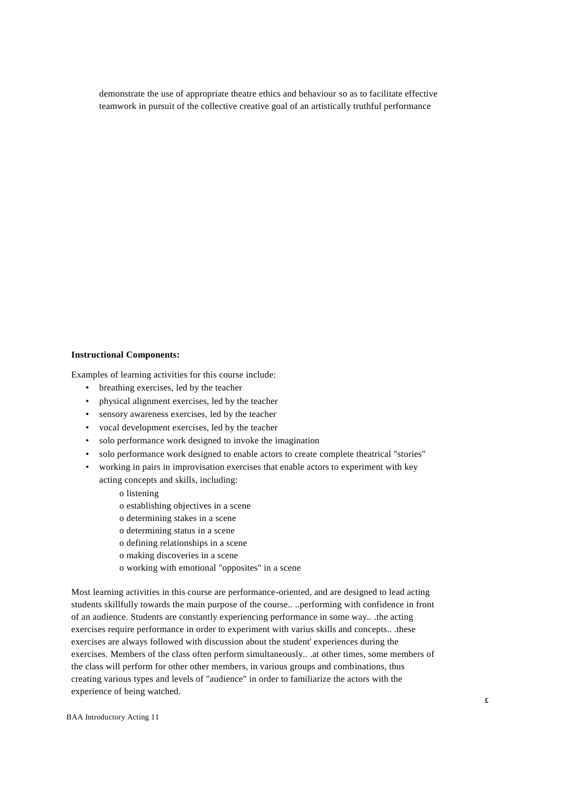demonstrate the use of appropriate theatre ethics and behaviour so as to facilitate effective teamwork in pursuit of the collective creative goal of an artistically truthful performance

#### **Instructional Components:**

Examples of learning activities for this course include:

- breathing exercises, led by the teacher
- physical alignment exercises, led by the teacher
- sensory awareness exercises, led by the teacher
- vocal development exercises, led by the teacher
- solo performance work designed to invoke the imagination
- solo performance work designed to enable actors to create complete theatrical "stories"
- working in pairs in improvisation exercises that enable actors to experiment with key
	- acting concepts and skills, including:
		- o listening
		- o establishing objectives in a scene
		- o determining stakes in a scene
		- o determining status in a scene
		- o defining relationships in a scene
		- o making discoveries in a scene
		- o working with emotional "opposites" in a scene

Most learning activities in this course are performance-oriented, and are designed to lead acting students skillfully towards the main purpose of the course.. ..performing with confidence in front of an audience. Students are constantly experiencing performance in some way.. .the acting exercises require performance in order to experiment with varius skills and concepts.. .these exercises are always followed with discussion about the student' experiences during the exercises. Members of the class often perform simultaneously.. .at other times, some members of the class will perform for other other members, in various groups and combinations, thus creating various types and levels of "audience" in order to familiarize the actors with the experience of being watched.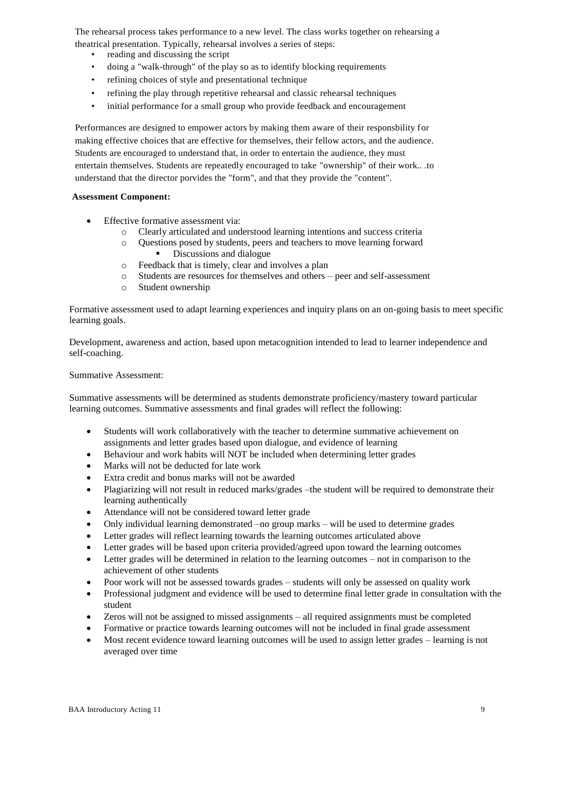The rehearsal process takes performance to a new level. The class works together on rehearsing a theatrical presentation. Typically, rehearsal involves a series of steps:

- reading and discussing the script
- doing a "walk-through" of the play so as to identify blocking requirements
- refining choices of style and presentational technique
- refining the play through repetitive rehearsal and classic rehearsal techniques
- initial performance for a small group who provide feedback and encouragement

Performances are designed to empower actors by making them aware of their responsbility for making effective choices that are effective for themselves, their fellow actors, and the audience. Students are encouraged to understand that, in order to entertain the audience, they must entertain themselves. Students are repeatedly encouraged to take "ownership" of their work.. .to understand that the director porvides the "form", and that they provide the "content".

# **Assessment Component:**

- Effective formative assessment via:
	- o Clearly articulated and understood learning intentions and success criteria
	- o Questions posed by students, peers and teachers to move learning forward
		- Discussions and dialogue
	- o Feedback that is timely, clear and involves a plan
	- o Students are resources for themselves and others peer and self-assessment
	- o Student ownership

Formative assessment used to adapt learning experiences and inquiry plans on an on-going basis to meet specific learning goals.

Development, awareness and action, based upon metacognition intended to lead to learner independence and self-coaching.

# Summative Assessment:

Summative assessments will be determined as students demonstrate proficiency/mastery toward particular learning outcomes. Summative assessments and final grades will reflect the following:

- Students will work collaboratively with the teacher to determine summative achievement on assignments and letter grades based upon dialogue, and evidence of learning
- Behaviour and work habits will NOT be included when determining letter grades
- Marks will not be deducted for late work
- Extra credit and bonus marks will not be awarded
- Plagiarizing will not result in reduced marks/grades –the student will be required to demonstrate their learning authentically
- Attendance will not be considered toward letter grade
- Only individual learning demonstrated –no group marks will be used to determine grades
- Letter grades will reflect learning towards the learning outcomes articulated above
- Letter grades will be based upon criteria provided/agreed upon toward the learning outcomes
- Letter grades will be determined in relation to the learning outcomes not in comparison to the achievement of other students
- Poor work will not be assessed towards grades students will only be assessed on quality work
- Professional judgment and evidence will be used to determine final letter grade in consultation with the student
- Zeros will not be assigned to missed assignments all required assignments must be completed
- Formative or practice towards learning outcomes will not be included in final grade assessment
- Most recent evidence toward learning outcomes will be used to assign letter grades learning is not averaged over time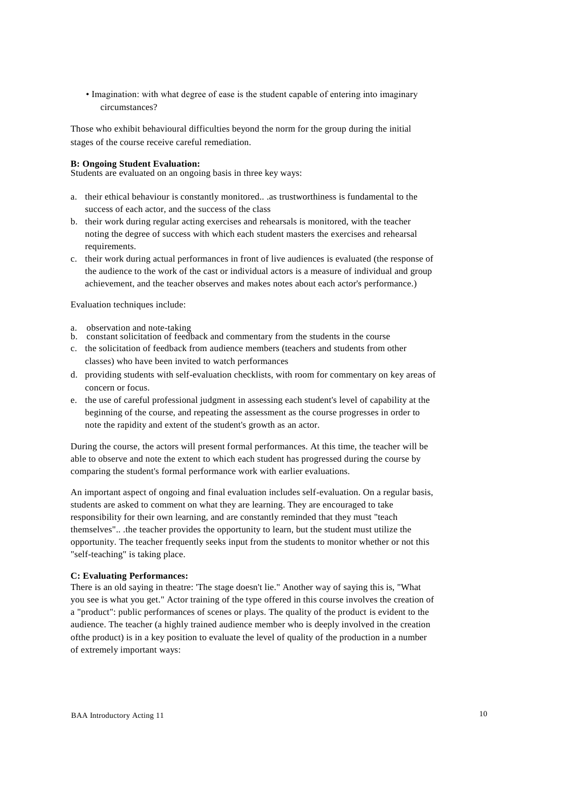• Imagination: with what degree of ease is the student capable of entering into imaginary circumstances?

Those who exhibit behavioural difficulties beyond the norm for the group during the initial stages of the course receive careful remediation.

#### **B: Ongoing Student Evaluation:**

Students are evaluated on an ongoing basis in three key ways:

- a. their ethical behaviour is constantly monitored.. .as trustworthiness is fundamental to the success of each actor, and the success of the class
- b. their work during regular acting exercises and rehearsals is monitored, with the teacher noting the degree of success with which each student masters the exercises and rehearsal requirements.
- c. their work during actual performances in front of live audiences is evaluated (the response of the audience to the work of the cast or individual actors is a measure of individual and group achievement, and the teacher observes and makes notes about each actor's performance.)

Evaluation techniques include:

- a. observation and note-taking
- b. constant solicitation of feedback and commentary from the students in the course
- c. the solicitation of feedback from audience members (teachers and students from other classes) who have been invited to watch performances
- d. providing students with self-evaluation checklists, with room for commentary on key areas of concern or focus.
- e. the use of careful professional judgment in assessing each student's level of capability at the beginning of the course, and repeating the assessment as the course progresses in order to note the rapidity and extent of the student's growth as an actor.

During the course, the actors will present formal performances. At this time, the teacher will be able to observe and note the extent to which each student has progressed during the course by comparing the student's formal performance work with earlier evaluations.

An important aspect of ongoing and final evaluation includes self-evaluation. On a regular basis, students are asked to comment on what they are learning. They are encouraged to take responsibility for their own learning, and are constantly reminded that they must "teach themselves".. .the teacher provides the opportunity to learn, but the student must utilize the opportunity. The teacher frequently seeks input from the students to monitor whether or not this "self-teaching" is taking place.

# **C: Evaluating Performances:**

There is an old saying in theatre: 'The stage doesn't lie." Another way of saying this is, "What you see is what you get." Actor training of the type offered in this course involves the creation of a "product": public performances of scenes or plays. The quality of the product is evident to the audience. The teacher (a highly trained audience member who is deeply involved in the creation ofthe product) is in a key position to evaluate the level of quality of the production in a number of extremely important ways: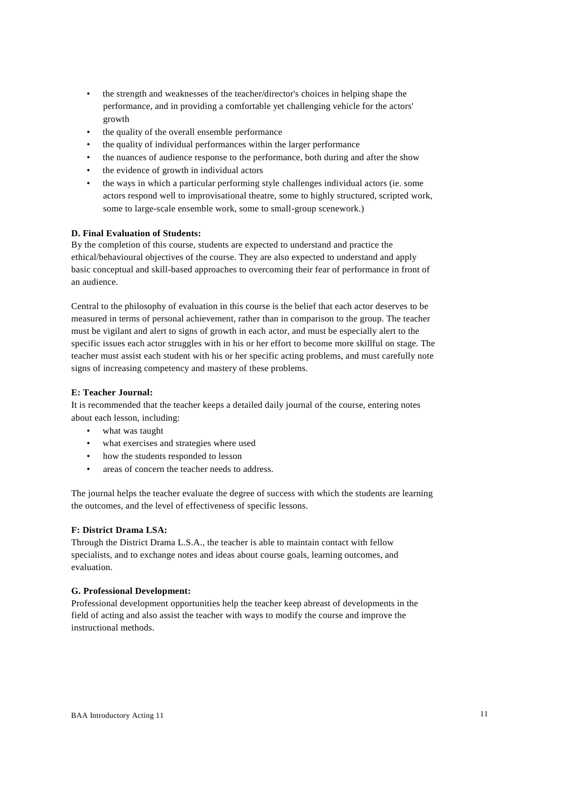- the strength and weaknesses of the teacher/director's choices in helping shape the performance, and in providing a comfortable yet challenging vehicle for the actors' growth
- the quality of the overall ensemble performance
- the quality of individual performances within the larger performance
- the nuances of audience response to the performance, both during and after the show
- the evidence of growth in individual actors
- the ways in which a particular performing style challenges individual actors (ie. some actors respond well to improvisational theatre, some to highly structured, scripted work, some to large-scale ensemble work, some to small-group scenework.)

# **D. Final Evaluation of Students:**

By the completion of this course, students are expected to understand and practice the ethical/behavioural objectives of the course. They are also expected to understand and apply basic conceptual and skill-based approaches to overcoming their fear of performance in front of an audience.

Central to the philosophy of evaluation in this course is the belief that each actor deserves to be measured in terms of personal achievement, rather than in comparison to the group. The teacher must be vigilant and alert to signs of growth in each actor, and must be especially alert to the specific issues each actor struggles with in his or her effort to become more skillful on stage. The teacher must assist each student with his or her specific acting problems, and must carefully note signs of increasing competency and mastery of these problems.

# **E: Teacher Journal:**

It is recommended that the teacher keeps a detailed daily journal of the course, entering notes about each lesson, including:

- what was taught
- what exercises and strategies where used
- how the students responded to lesson
- areas of concern the teacher needs to address.

The journal helps the teacher evaluate the degree of success with which the students are learning the outcomes, and the level of effectiveness of specific lessons.

# **F: District Drama LSA:**

Through the District Drama L.S.A., the teacher is able to maintain contact with fellow specialists, and to exchange notes and ideas about course goals, learning outcomes, and evaluation.

# **G. Professional Development:**

Professional development opportunities help the teacher keep abreast of developments in the field of acting and also assist the teacher with ways to modify the course and improve the instructional methods.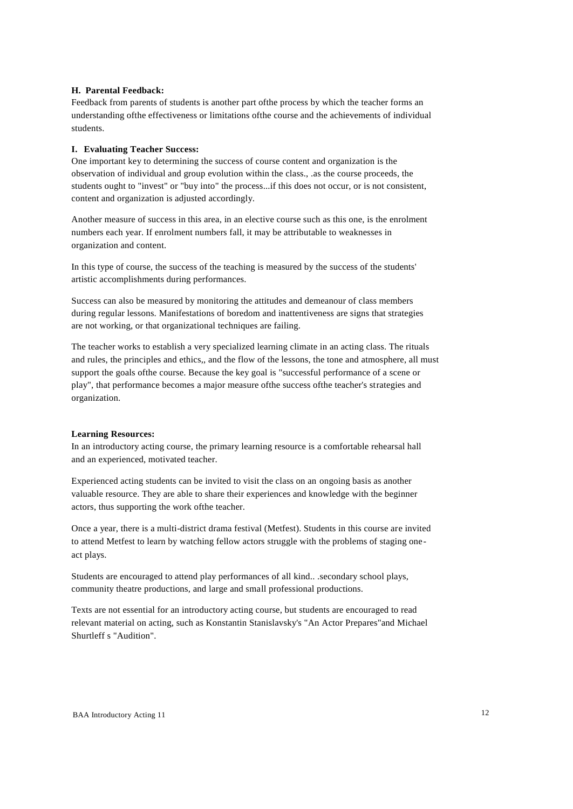### **H. Parental Feedback:**

Feedback from parents of students is another part ofthe process by which the teacher forms an understanding ofthe effectiveness or limitations ofthe course and the achievements of individual students.

#### **I. Evaluating Teacher Success:**

One important key to determining the success of course content and organization is the observation of individual and group evolution within the class., .as the course proceeds, the students ought to "invest" or "buy into" the process...if this does not occur, or is not consistent, content and organization is adjusted accordingly.

Another measure of success in this area, in an elective course such as this one, is the enrolment numbers each year. If enrolment numbers fall, it may be attributable to weaknesses in organization and content.

In this type of course, the success of the teaching is measured by the success of the students' artistic accomplishments during performances.

Success can also be measured by monitoring the attitudes and demeanour of class members during regular lessons. Manifestations of boredom and inattentiveness are signs that strategies are not working, or that organizational techniques are failing.

The teacher works to establish a very specialized learning climate in an acting class. The rituals and rules, the principles and ethics,, and the flow of the lessons, the tone and atmosphere, all must support the goals ofthe course. Because the key goal is "successful performance of a scene or play", that performance becomes a major measure ofthe success ofthe teacher's strategies and organization.

#### **Learning Resources:**

In an introductory acting course, the primary learning resource is a comfortable rehearsal hall and an experienced, motivated teacher.

Experienced acting students can be invited to visit the class on an ongoing basis as another valuable resource. They are able to share their experiences and knowledge with the beginner actors, thus supporting the work ofthe teacher.

Once a year, there is a multi-district drama festival (Metfest). Students in this course are invited to attend Metfest to learn by watching fellow actors struggle with the problems of staging oneact plays.

Students are encouraged to attend play performances of all kind.. .secondary school plays, community theatre productions, and large and small professional productions.

Texts are not essential for an introductory acting course, but students are encouraged to read relevant material on acting, such as Konstantin Stanislavsky's "An Actor Prepares"and Michael Shurtleff s "Audition".